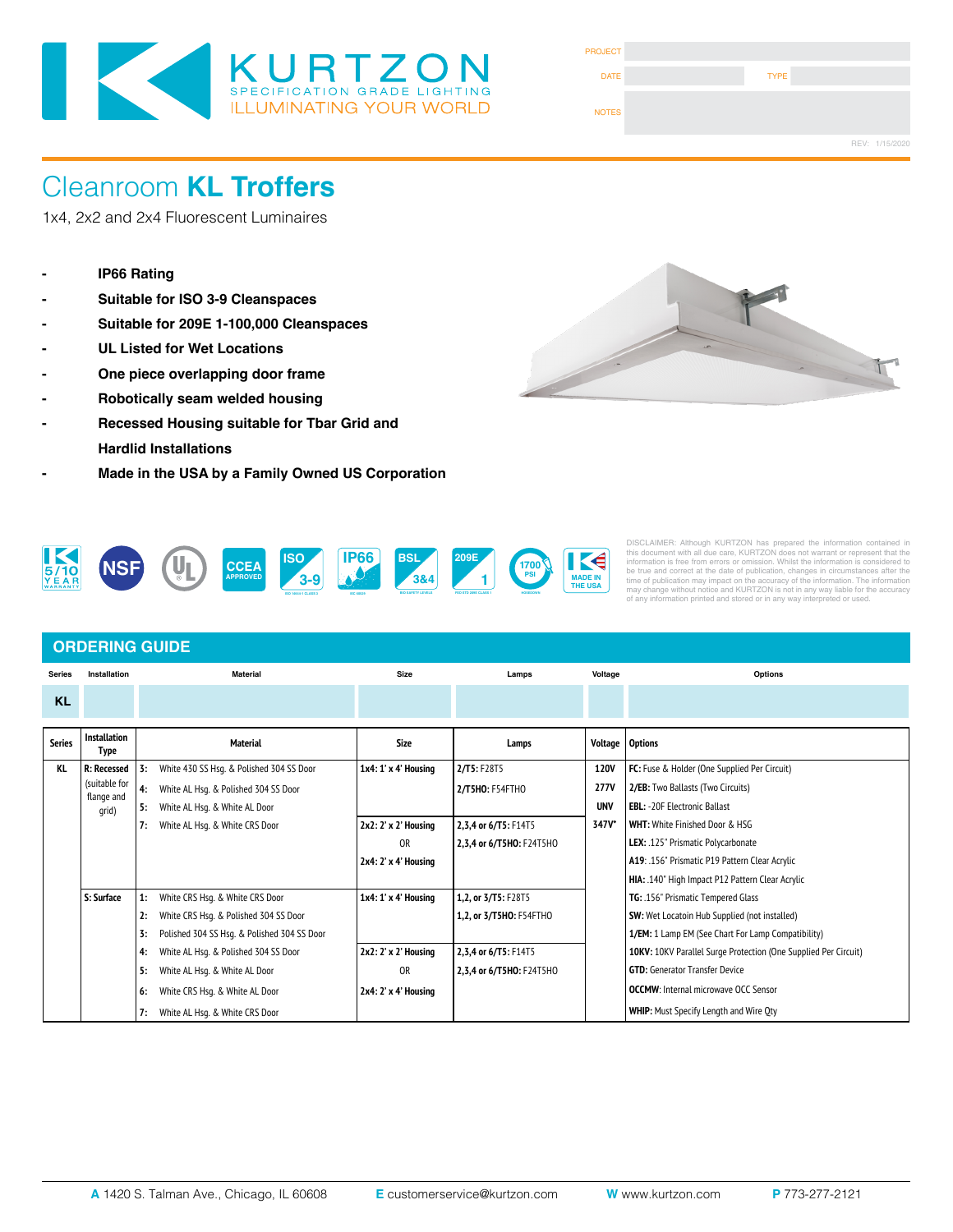

| <b>PROJECT</b> |             |                |
|----------------|-------------|----------------|
| <b>DATE</b>    | <b>TYPE</b> |                |
| <b>NOTES</b>   |             |                |
|                |             | REV: 1/15/2020 |

# Cleanroom **KL Troffers**

1x4, 2x2 and 2x4 Fluorescent Luminaires

- **IP66 Rating**
- **Suitable for ISO 3-9 Cleanspaces**
- **Suitable for 209E 1-100,000 Cleanspaces**
- **UL Listed for Wet Locations**
- **One piece overlapping door frame**
- **Robotically seam welded housing**
- **Recessed Housing suitable for Tbar Grid and Hardlid Installations**
- **- Made in the USA by a Family Owned US Corporation**





DISCLAIMER: Although KURTZON has prepared the information contained in<br>this document with all due care, KURTZON does not warrant or represent that the<br>information is free from errors or omission. Whilst the information is

### **ORDERING GUIDE**

| <b>Series</b> | Installation                | <b>Material</b>                                   | <b>Size</b>          | Lamps                    | Voltage           | <b>Options</b>                                                  |
|---------------|-----------------------------|---------------------------------------------------|----------------------|--------------------------|-------------------|-----------------------------------------------------------------|
| <b>KL</b>     |                             |                                                   |                      |                          |                   |                                                                 |
| <b>Series</b> | <b>Installation</b><br>Type | <b>Material</b>                                   | Size                 | Lamps                    | Voltage   Options |                                                                 |
| KL            | <b>R: Recessed</b>          | White 430 SS Hsq. & Polished 304 SS Door<br>3:    | 1x4: 1' x 4' Housing | 2/TS: F28T5              | <b>120V</b>       | FC: Fuse & Holder (One Supplied Per Circuit)                    |
|               | (suitable for<br>flange and | White AL Hsq. & Polished 304 SS Door<br>4:        |                      | 2/T5HO: F54FTHO          | <b>277V</b>       | 2/EB: Two Ballasts (Two Circuits)                               |
|               | qrid)                       | White AL Hsq. & White AL Door<br>5:               |                      |                          | <b>UNV</b>        | <b>EBL: -20F Electronic Ballast</b>                             |
|               |                             | White AL Hsg. & White CRS Door<br>7:              | 2x2: 2' x 2' Housing | 2,3,4 or 6/T5: F14T5     | 347V*             | <b>WHT: White Finished Door &amp; HSG</b>                       |
|               |                             |                                                   | <b>OR</b>            | 2,3,4 or 6/T5HO: F24T5HO |                   | LEX: .125" Prismatic Polycarbonate                              |
|               |                             |                                                   | 2x4: 2' x 4' Housing |                          |                   | A19: .156" Prismatic P19 Pattern Clear Acrylic                  |
|               |                             |                                                   |                      |                          |                   | HIA: .140" High Impact P12 Pattern Clear Acrylic                |
|               | S: Surface                  | White CRS Hsq. & White CRS Door<br>1:             | 1x4: 1' x 4' Housing | 1,2, or 3/T5: F28T5      |                   | TG: .156" Prismatic Tempered Glass                              |
|               |                             | White CRS Hsq. & Polished 304 SS Door<br>2:       |                      | 1,2, or 3/T5HO: F54FTHO  |                   | <b>SW:</b> Wet Locatoin Hub Supplied (not installed)            |
|               |                             | Polished 304 SS Hsq. & Polished 304 SS Door<br>3: |                      |                          |                   | 1/EM: 1 Lamp EM (See Chart For Lamp Compatibility)              |
|               |                             | White AL Hsq. & Polished 304 SS Door<br>4:        | 2x2: 2' x 2' Housing | 2,3,4 or 6/T5: F14T5     |                   | 10KV: 10KV Parallel Surge Protection (One Supplied Per Circuit) |
|               |                             | White AL Hsg. & White AL Door<br>5:               | <b>OR</b>            | 2,3,4 or 6/T5HO: F24T5HO |                   | <b>GTD:</b> Generator Transfer Device                           |
|               |                             | White CRS Hsq. & White AL Door<br>6:              | 2x4: 2' x 4' Housing |                          |                   | <b>OCCMW:</b> Internal microwave OCC Sensor                     |
|               |                             | White AL Hsg. & White CRS Door<br>7:              |                      |                          |                   | <b>WHIP:</b> Must Specify Length and Wire Qty                   |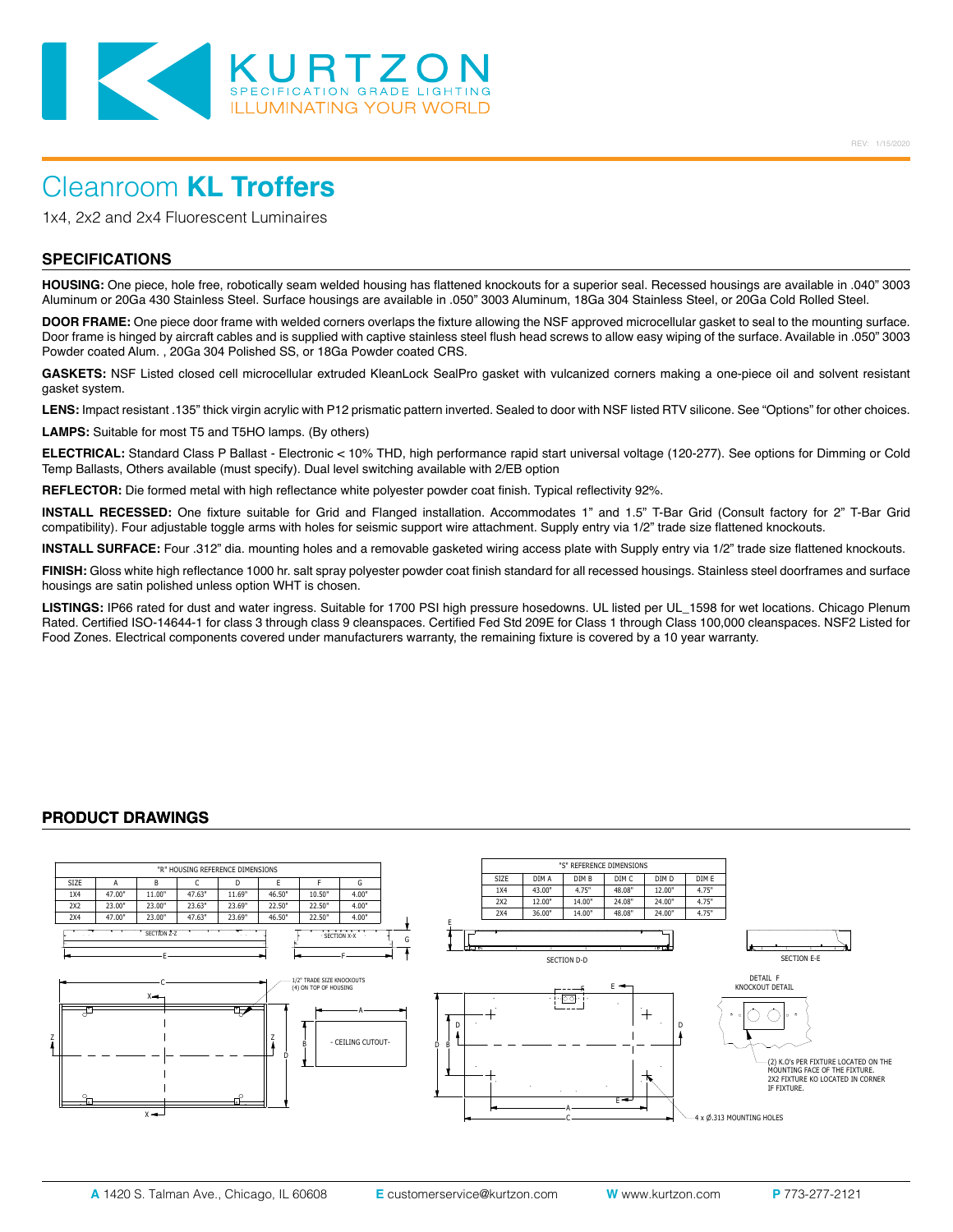

# Cleanroom **KL Troffers**

1x4, 2x2 and 2x4 Fluorescent Luminaires

### **SPECIFICATIONS**

**HOUSING:** One piece, hole free, robotically seam welded housing has flattened knockouts for a superior seal. Recessed housings are available in .040" 3003 Aluminum or 20Ga 430 Stainless Steel. Surface housings are available in .050" 3003 Aluminum, 18Ga 304 Stainless Steel, or 20Ga Cold Rolled Steel.

**DOOR FRAME:** One piece door frame with welded corners overlaps the fixture allowing the NSF approved microcellular gasket to seal to the mounting surface. Door frame is hinged by aircraft cables and is supplied with captive stainless steel flush head screws to allow easy wiping of the surface. Available in .050" 3003 Powder coated Alum. , 20Ga 304 Polished SS, or 18Ga Powder coated CRS.

**GASKETS:** NSF Listed closed cell microcellular extruded KleanLock SealPro gasket with vulcanized corners making a one-piece oil and solvent resistant gasket system.

LENS: Impact resistant .135" thick virgin acrylic with P12 prismatic pattern inverted. Sealed to door with NSF listed RTV silicone. See "Options" for other choices.

**LAMPS:** Suitable for most T5 and T5HO lamps. (By others)

**ELECTRICAL:** Standard Class P Ballast - Electronic < 10% THD, high performance rapid start universal voltage (120-277). See options for Dimming or Cold Temp Ballasts, Others available (must specify). Dual level switching available with 2/EB option

**REFLECTOR:** Die formed metal with high reflectance white polyester powder coat finish. Typical reflectivity 92%.

**INSTALL RECESSED:** One fixture suitable for Grid and Flanged installation. Accommodates 1" and 1.5" T-Bar Grid (Consult factory for 2" T-Bar Grid compatibility). Four adjustable toggle arms with holes for seismic support wire attachment. Supply entry via 1/2" trade size flattened knockouts.

**INSTALL SURFACE:** Four .312" dia. mounting holes and a removable gasketed wiring access plate with Supply entry via 1/2" trade size flattened knockouts.

**FINISH:** Gloss white high reflectance 1000 hr. salt spray polyester powder coat finish standard for all recessed housings. Stainless steel doorframes and surface housings are satin polished unless option WHT is chosen.

**LISTINGS:** IP66 rated for dust and water ingress. Suitable for 1700 PSI high pressure hosedowns. UL listed per UL\_1598 for wet locations. Chicago Plenum Rated. Certified ISO-14644-1 for class 3 through class 9 cleanspaces. Certified Fed Std 209E for Class 1 through Class 100,000 cleanspaces. NSF2 Listed for Food Zones. Electrical components covered under manufacturers warranty, the remaining fixture is covered by a 10 year warranty.

### **PRODUCT DRAWINGS**